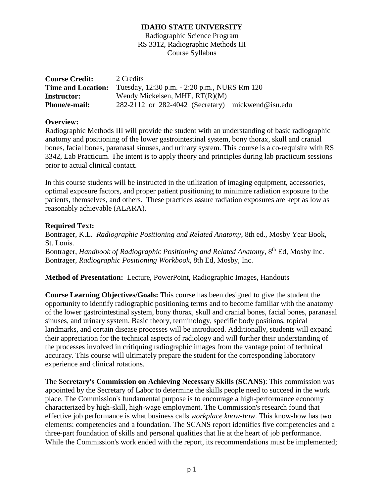Radiographic Science Program RS 3312, Radiographic Methods III Course Syllabus

| <b>Course Credit:</b>     | 2 Credits                                             |  |
|---------------------------|-------------------------------------------------------|--|
| <b>Time and Location:</b> | Tuesday, 12:30 p.m. - 2:20 p.m., NURS Rm 120          |  |
| <b>Instructor:</b>        | Wendy Mickelsen, MHE, $RT(R)(M)$                      |  |
| Phone/e-mail:             | $282-2112$ or $282-4042$ (Secretary) mickwend@isu.edu |  |

#### **Overview:**

Radiographic Methods III will provide the student with an understanding of basic radiographic anatomy and positioning of the lower gastrointestinal system, bony thorax, skull and cranial bones, facial bones, paranasal sinuses, and urinary system. This course is a co-requisite with RS 3342, Lab Practicum. The intent is to apply theory and principles during lab practicum sessions prior to actual clinical contact.

In this course students will be instructed in the utilization of imaging equipment, accessories, optimal exposure factors, and proper patient positioning to minimize radiation exposure to the patients, themselves, and others. These practices assure radiation exposures are kept as low as reasonably achievable (ALARA).

#### **Required Text:**

Bontrager, K.L. *Radiographic Positioning and Related Anatomy*, 8th ed., Mosby Year Book, St. Louis. Bontrager, *Handbook of Radiographic Positioning and Related Anatomy*, 8<sup>th</sup> Ed, Mosby Inc. Bontrager, *Radiographic Positioning Workbook*, 8th Ed, Mosby, Inc.

**Method of Presentation:** Lecture, PowerPoint, Radiographic Images, Handouts

**Course Learning Objectives/Goals:** This course has been designed to give the student the opportunity to identify radiographic positioning terms and to become familiar with the anatomy of the lower gastrointestinal system, bony thorax, skull and cranial bones, facial bones, paranasal sinuses, and urinary system. Basic theory, terminology, specific body positions, topical landmarks, and certain disease processes will be introduced. Additionally, students will expand their appreciation for the technical aspects of radiology and will further their understanding of the processes involved in critiquing radiographic images from the vantage point of technical accuracy. This course will ultimately prepare the student for the corresponding laboratory experience and clinical rotations.

The **Secretary's Commission on Achieving Necessary Skills (SCANS)**: This commission was appointed by the Secretary of Labor to determine the skills people need to succeed in the work place. The Commission's fundamental purpose is to encourage a high-performance economy characterized by high-skill, high-wage employment. The Commission's research found that effective job performance is what business calls *workplace know-how*. This know-how has two elements: competencies and a foundation. The SCANS report identifies five competencies and a three-part foundation of skills and personal qualities that lie at the heart of job performance. While the Commission's work ended with the report, its recommendations must be implemented;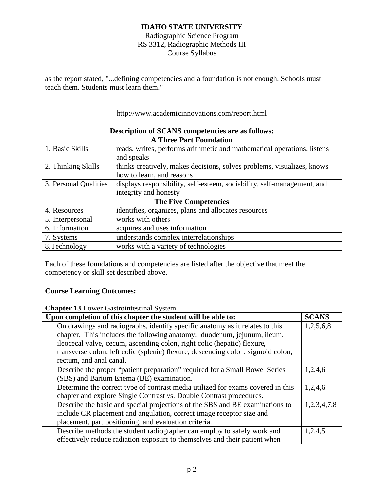Radiographic Science Program RS 3312, Radiographic Methods III Course Syllabus

as the report stated, "...defining competencies and a foundation is not enough. Schools must teach them. Students must learn them."

http://www.academicinnovations.com/report.html

| <b>A Three Part Foundation</b> |                                                                         |  |
|--------------------------------|-------------------------------------------------------------------------|--|
| 1. Basic Skills                | reads, writes, performs arithmetic and mathematical operations, listens |  |
|                                | and speaks                                                              |  |
| 2. Thinking Skills             | thinks creatively, makes decisions, solves problems, visualizes, knows  |  |
|                                | how to learn, and reasons                                               |  |
| 3. Personal Qualities          | displays responsibility, self-esteem, sociability, self-management, and |  |
|                                | integrity and honesty                                                   |  |
| <b>The Five Competencies</b>   |                                                                         |  |
| 4. Resources                   | identifies, organizes, plans and allocates resources                    |  |
| 5. Interpersonal               | works with others                                                       |  |
| 6. Information                 | acquires and uses information                                           |  |
| 7. Systems                     | understands complex interrelationships                                  |  |
| 8. Technology                  | works with a variety of technologies                                    |  |

## **Description of SCANS competencies are as follows:**

Each of these foundations and competencies are listed after the objective that meet the competency or skill set described above.

## **Course Learning Outcomes:**

**Chapter 13** Lower Gastrointestinal System

| Upon completion of this chapter the student will be able to:                     | <b>SCANS</b> |
|----------------------------------------------------------------------------------|--------------|
| On drawings and radiographs, identify specific anatomy as it relates to this     | 1,2,5,6,8    |
| chapter. This includes the following anatomy: duodenum, jejunum, ileum,          |              |
| ileocecal valve, cecum, ascending colon, right colic (hepatic) flexure,          |              |
| transverse colon, left colic (splenic) flexure, descending colon, sigmoid colon, |              |
| rectum, and anal canal.                                                          |              |
| Describe the proper "patient preparation" required for a Small Bowel Series      | 1,2,4,6      |
| (SBS) and Barium Enema (BE) examination.                                         |              |
| Determine the correct type of contrast media utilized for exams covered in this  | 1,2,4,6      |
| chapter and explore Single Contrast vs. Double Contrast procedures.              |              |
| Describe the basic and special projections of the SBS and BE examinations to     | 1,2,3,4,7,8  |
| include CR placement and angulation, correct image receptor size and             |              |
| placement, part positioning, and evaluation criteria.                            |              |
| Describe methods the student radiographer can employ to safely work and          | 1,2,4,5      |
| effectively reduce radiation exposure to themselves and their patient when       |              |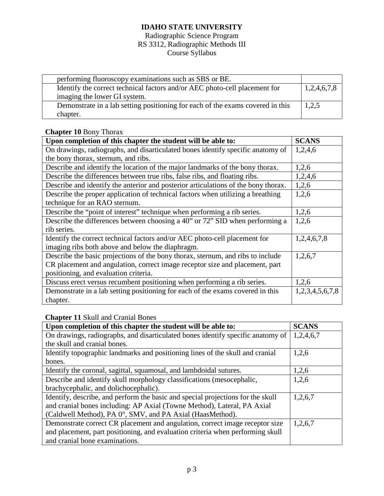## Radiographic Science Program RS 3312, Radiographic Methods III Course Syllabus

| performing fluoroscopy examinations such as SBS or BE.                         |             |
|--------------------------------------------------------------------------------|-------------|
| Identify the correct technical factors and/or AEC photo-cell placement for     | 1,2,4,6,7,8 |
| imaging the lower GI system.                                                   |             |
| Demonstrate in a lab setting positioning for each of the exams covered in this | 1,2,5       |
| chapter.                                                                       |             |

## **Chapter 10** Bony Thorax

| Upon completion of this chapter the student will be able to:                       | <b>SCANS</b>    |
|------------------------------------------------------------------------------------|-----------------|
| On drawings, radiographs, and disarticulated bones identify specific anatomy of    | 1,2,4,6         |
| the bony thorax, sternum, and ribs.                                                |                 |
| Describe and identify the location of the major landmarks of the bony thorax.      | 1,2,6           |
| Describe the differences between true ribs, false ribs, and floating ribs.         | 1,2,4,6         |
| Describe and identify the anterior and posterior articulations of the bony thorax. | 1,2,6           |
| Describe the proper application of technical factors when utilizing a breathing    | 1,2,6           |
| technique for an RAO sternum.                                                      |                 |
| Describe the "point of interest" technique when performing a rib series.           | 1,2,6           |
| Describe the differences between choosing a 40" or 72" SID when performing a       | 1,2,6           |
| rib series.                                                                        |                 |
| Identify the correct technical factors and/or AEC photo-cell placement for         | 1,2,4,6,7,8     |
| imaging ribs both above and below the diaphragm.                                   |                 |
| Describe the basic projections of the bony thorax, sternum, and ribs to include    | 1,2,6,7         |
| CR placement and angulation, correct image receptor size and placement, part       |                 |
| positioning, and evaluation criteria.                                              |                 |
| Discuss erect versus recumbent positioning when performing a rib series.           | 1,2,6           |
| Demonstrate in a lab setting positioning for each of the exams covered in this     | 1,2,3,4,5,6,7,8 |
| chapter.                                                                           |                 |

## **Chapter 11** Skull and Cranial Bones

| Upon completion of this chapter the student will be able to:                    | <b>SCANS</b> |
|---------------------------------------------------------------------------------|--------------|
| On drawings, radiographs, and disarticulated bones identify specific anatomy of | 1,2,4,6,7    |
| the skull and cranial bones.                                                    |              |
| Identify topographic landmarks and positioning lines of the skull and cranial   | 1,2,6        |
| bones.                                                                          |              |
| Identify the coronal, sagittal, squamosal, and lambdoidal sutures.              | 1,2,6        |
| Describe and identify skull morphology classifications (mesocephalic,           | 1,2,6        |
| brachycephalic, and dolichocephalic).                                           |              |
| Identify, describe, and perform the basic and special projections for the skull | 1,2,6,7      |
| and cranial bones including: AP Axial (Towne Method), Lateral, PA Axial         |              |
| (Caldwell Method), PA 0°, SMV, and PA Axial (HaasMethod).                       |              |
| Demonstrate correct CR placement and angulation, correct image receptor size    | 1,2,6,7      |
| and placement, part positioning, and evaluation criteria when performing skull  |              |
| and cranial bone examinations.                                                  |              |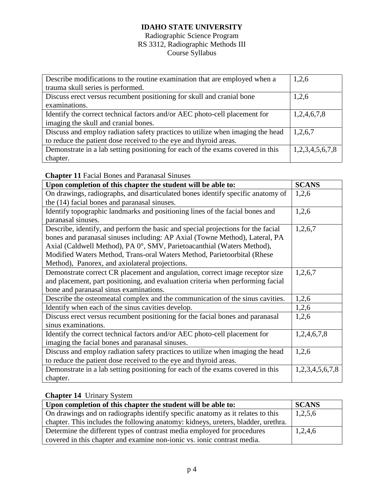## Radiographic Science Program RS 3312, Radiographic Methods III Course Syllabus

| Describe modifications to the routine examination that are employed when a     | 1,2,6           |
|--------------------------------------------------------------------------------|-----------------|
| trauma skull series is performed.                                              |                 |
| Discuss erect versus recumbent positioning for skull and cranial bone          | 1,2,6           |
| examinations.                                                                  |                 |
| Identify the correct technical factors and/or AEC photo-cell placement for     | 1,2,4,6,7,8     |
| imaging the skull and cranial bones.                                           |                 |
| Discuss and employ radiation safety practices to utilize when imaging the head | 1,2,6,7         |
| to reduce the patient dose received to the eye and thyroid areas.              |                 |
| Demonstrate in a lab setting positioning for each of the exams covered in this | 1,2,3,4,5,6,7,8 |
| chapter.                                                                       |                 |

**Chapter 11** Facial Bones and Paranasal Sinuses

| Upon completion of this chapter the student will be able to:                     | <b>SCANS</b>    |
|----------------------------------------------------------------------------------|-----------------|
| On drawings, radiographs, and disarticulated bones identify specific anatomy of  | 1,2,6           |
| the (14) facial bones and paranasal sinuses.                                     |                 |
| Identify topographic landmarks and positioning lines of the facial bones and     | 1,2,6           |
| paranasal sinuses.                                                               |                 |
| Describe, identify, and perform the basic and special projections for the facial | 1,2,6,7         |
| bones and paranasal sinuses including: AP Axial (Towne Method), Lateral, PA      |                 |
| Axial (Caldwell Method), PA 0°, SMV, Parietoacanthial (Waters Method),           |                 |
| Modified Waters Method, Trans-oral Waters Method, Parietoorbital (Rhese          |                 |
| Method), Panorex, and axiolateral projections.                                   |                 |
| Demonstrate correct CR placement and angulation, correct image receptor size     | 1,2,6,7         |
| and placement, part positioning, and evaluation criteria when performing facial  |                 |
| bone and paranasal sinus examinations.                                           |                 |
| Describe the osteomeatal complex and the communication of the sinus cavities.    | 1,2,6           |
| Identify when each of the sinus cavities develop.                                | 1,2,6           |
| Discuss erect versus recumbent positioning for the facial bones and paranasal    | 1,2,6           |
| sinus examinations.                                                              |                 |
| Identify the correct technical factors and/or AEC photo-cell placement for       | 1,2,4,6,7,8     |
| imaging the facial bones and paranasal sinuses.                                  |                 |
| Discuss and employ radiation safety practices to utilize when imaging the head   | 1,2,6           |
| to reduce the patient dose received to the eye and thyroid areas.                |                 |
| Demonstrate in a lab setting positioning for each of the exams covered in this   | 1,2,3,4,5,6,7,8 |
| chapter.                                                                         |                 |

## **Chapter 14** Urinary System

| Upon completion of this chapter the student will be able to:                      | <b>SCANS</b> |
|-----------------------------------------------------------------------------------|--------------|
| On drawings and on radiographs identify specific anatomy as it relates to this    | 1,2,5,6      |
| chapter. This includes the following anatomy: kidneys, ureters, bladder, urethra. |              |
| Determine the different types of contrast media employed for procedures           | 1,2,4,6      |
| covered in this chapter and examine non-ionic vs. ionic contrast media.           |              |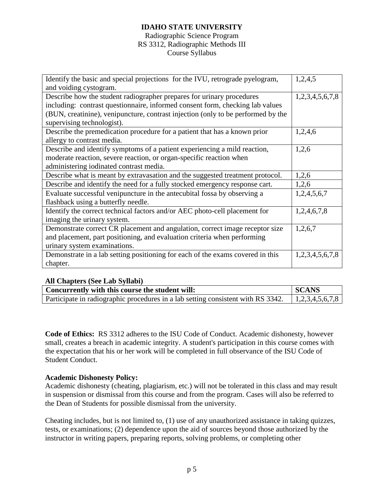#### Radiographic Science Program RS 3312, Radiographic Methods III Course Syllabus

| Identify the basic and special projections for the IVU, retrograde pyelogram,    | 1,2,4,5         |
|----------------------------------------------------------------------------------|-----------------|
| and voiding cystogram.                                                           |                 |
| Describe how the student radiographer prepares for urinary procedures            | 1,2,3,4,5,6,7,8 |
| including: contrast questionnaire, informed consent form, checking lab values    |                 |
| (BUN, creatinine), venipuncture, contrast injection (only to be performed by the |                 |
| supervising technologist).                                                       |                 |
| Describe the premedication procedure for a patient that has a known prior        | 1,2,4,6         |
| allergy to contrast media.                                                       |                 |
| Describe and identify symptoms of a patient experiencing a mild reaction,        | 1,2,6           |
| moderate reaction, severe reaction, or organ-specific reaction when              |                 |
| administering iodinated contrast media.                                          |                 |
| Describe what is meant by extravasation and the suggested treatment protocol.    | 1,2,6           |
| Describe and identify the need for a fully stocked emergency response cart.      | 1,2,6           |
| Evaluate successful venipuncture in the antecubital fossa by observing a         | 1,2,4,5,6,7     |
| flashback using a butterfly needle.                                              |                 |
| Identify the correct technical factors and/or AEC photo-cell placement for       | 1,2,4,6,7,8     |
| imaging the urinary system.                                                      |                 |
| Demonstrate correct CR placement and angulation, correct image receptor size     | 1,2,6,7         |
| and placement, part positioning, and evaluation criteria when performing         |                 |
| urinary system examinations.                                                     |                 |
| Demonstrate in a lab setting positioning for each of the exams covered in this   | 1,2,3,4,5,6,7,8 |
| chapter.                                                                         |                 |

#### **All Chapters (See Lab Syllabi)**

| Concurrently with this course the student will:                                  | l SCANS         |
|----------------------------------------------------------------------------------|-----------------|
| Participate in radiographic procedures in a lab setting consistent with RS 3342. | 1,2,3,4,5,6,7,8 |

**Code of Ethics:** RS 3312 adheres to the ISU Code of Conduct. Academic dishonesty, however small, creates a breach in academic integrity. A student's participation in this course comes with the expectation that his or her work will be completed in full observance of the ISU Code of Student Conduct.

#### **Academic Dishonesty Policy:**

Academic dishonesty (cheating, plagiarism, etc.) will not be tolerated in this class and may result in suspension or dismissal from this course and from the program. Cases will also be referred to the Dean of Students for possible dismissal from the university.

Cheating includes, but is not limited to, (1) use of any unauthorized assistance in taking quizzes, tests, or examinations; (2) dependence upon the aid of sources beyond those authorized by the instructor in writing papers, preparing reports, solving problems, or completing other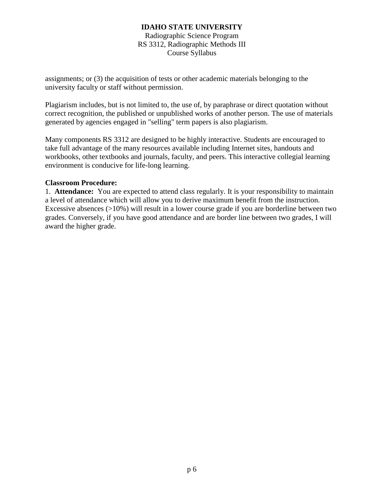Radiographic Science Program RS 3312, Radiographic Methods III Course Syllabus

assignments; or (3) the acquisition of tests or other academic materials belonging to the university faculty or staff without permission.

Plagiarism includes, but is not limited to, the use of, by paraphrase or direct quotation without correct recognition, the published or unpublished works of another person. The use of materials generated by agencies engaged in "selling" term papers is also plagiarism.

Many components RS 3312 are designed to be highly interactive. Students are encouraged to take full advantage of the many resources available including Internet sites, handouts and workbooks, other textbooks and journals, faculty, and peers. This interactive collegial learning environment is conducive for life-long learning.

#### **Classroom Procedure:**

1. **Attendance:** You are expected to attend class regularly. It is your responsibility to maintain a level of attendance which will allow you to derive maximum benefit from the instruction. Excessive absences  $(>10\%)$  will result in a lower course grade if you are borderline between two grades. Conversely, if you have good attendance and are border line between two grades, I will award the higher grade.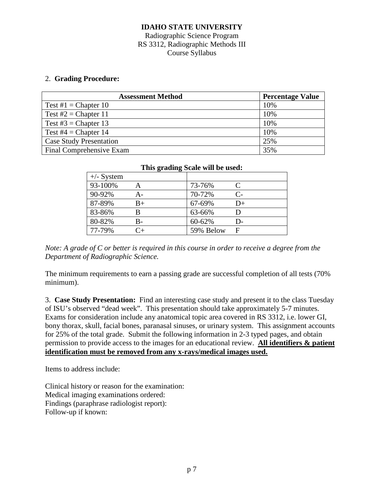## Radiographic Science Program RS 3312, Radiographic Methods III Course Syllabus

#### 2. **Grading Procedure:**

| <b>Assessment Method</b>       | <b>Percentage Value</b> |
|--------------------------------|-------------------------|
| Test #1 = Chapter 10           | 10%                     |
| Test $#2 = Chapter 11$         | 10%                     |
| Test #3 = Chapter 13           | 10%                     |
| Test #4 = Chapter 14           | 10%                     |
| <b>Case Study Presentation</b> | 25%                     |
| Final Comprehensive Exam       | 35%                     |

| This grading Scale will be used: |    |           |                      |
|----------------------------------|----|-----------|----------------------|
| $+/-$ System                     |    |           |                      |
| 93-100%                          |    | 73-76%    | $\subset$            |
| 90-92%                           |    | 70-72%    | $\mathsf{C}\text{-}$ |
| 87-89%                           | B+ | 67-69%    | D+                   |
| 83-86%                           | В  | 63-66%    | D                    |
| 80-82%                           | B- | 60-62%    | $D -$                |
| 77-79%                           | ்⊥ | 59% Below | F                    |

*Note: A grade of C or better is required in this course in order to receive a degree from the Department of Radiographic Science.*

The minimum requirements to earn a passing grade are successful completion of all tests (70% minimum).

3. **Case Study Presentation:** Find an interesting case study and present it to the class Tuesday of ISU's observed "dead week". This presentation should take approximately 5-7 minutes. Exams for consideration include any anatomical topic area covered in RS 3312, i.e. lower GI, bony thorax, skull, facial bones, paranasal sinuses, or urinary system. This assignment accounts for 25% of the total grade. Submit the following information in 2-3 typed pages, and obtain permission to provide access to the images for an educational review. **All identifiers & patient identification must be removed from any x-rays/medical images used.**

Items to address include:

Clinical history or reason for the examination: Medical imaging examinations ordered: Findings (paraphrase radiologist report): Follow-up if known: